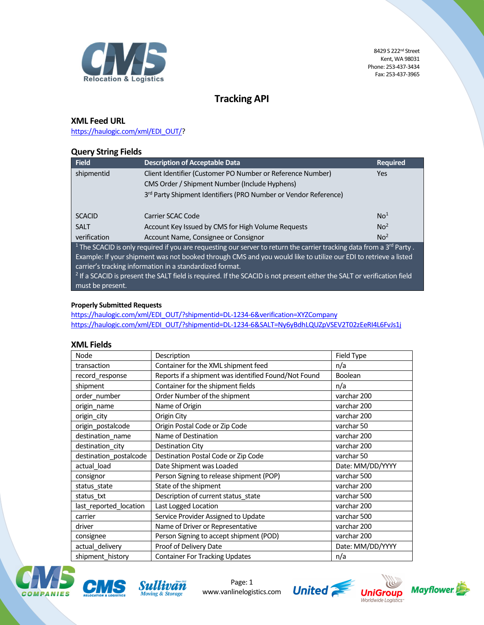

# Tracking API

## XML Feed URL

https://haulogic.com/xml/EDI\_OUT/?

## Query String Fields

| Field                                                                                                                                       | <b>Description of Acceptable Data</b>                           | <b>Required</b> |  |  |
|---------------------------------------------------------------------------------------------------------------------------------------------|-----------------------------------------------------------------|-----------------|--|--|
| shipmentid                                                                                                                                  | Client Identifier (Customer PO Number or Reference Number)      | <b>Yes</b>      |  |  |
|                                                                                                                                             | CMS Order / Shipment Number (Include Hyphens)                   |                 |  |  |
|                                                                                                                                             | 3rd Party Shipment Identifiers (PRO Number or Vendor Reference) |                 |  |  |
|                                                                                                                                             |                                                                 |                 |  |  |
| <b>SCACID</b>                                                                                                                               | Carrier SCAC Code                                               | No <sup>1</sup> |  |  |
| <b>SALT</b>                                                                                                                                 | Account Key Issued by CMS for High Volume Requests              | No <sup>2</sup> |  |  |
| verification                                                                                                                                | Account Name, Consignee or Consignor                            | No <sup>2</sup> |  |  |
| <sup>1</sup> The SCACID is only required if you are requesting our server to return the carrier tracking data from a 3 <sup>rd</sup> Party. |                                                                 |                 |  |  |
| Example: If your shipment was not booked through CMS and you would like to utilize our EDI to retrieve a listed                             |                                                                 |                 |  |  |
| carrier's tracking information in a standardized format.                                                                                    |                                                                 |                 |  |  |
| $^{-2}$ If a SCACID is present the SALT field is required. If the SCACID is not present either the SALT or verification field               |                                                                 |                 |  |  |
| must be present.                                                                                                                            |                                                                 |                 |  |  |

#### Properly Submitted Requests

https://haulogic.com/xml/EDI\_OUT/?shipmentid=DL-1234-6&verification=XYZCompany https://haulogic.com/xml/EDI\_OUT/?shipmentid=DL-1234-6&SALT=Ny6yBdhLQUZpVSEV2T02zEeRI4L6FvJs1j

## XML Fields

| Node                   | Description                                          | Field Type       |
|------------------------|------------------------------------------------------|------------------|
| transaction            | Container for the XML shipment feed                  | n/a              |
| record response        | Reports if a shipment was identified Found/Not Found | Boolean          |
| shipment               | Container for the shipment fields                    | n/a              |
| order_number           | Order Number of the shipment                         | varchar 200      |
| origin_name            | Name of Origin                                       | varchar 200      |
| origin_city            | Origin City                                          | varchar 200      |
| origin_postalcode      | Origin Postal Code or Zip Code                       | varchar 50       |
| destination_name       | Name of Destination                                  | varchar 200      |
| destination_city       | <b>Destination City</b>                              | varchar 200      |
| destination_postalcode | Destination Postal Code or Zip Code                  | varchar 50       |
| actual load            | Date Shipment was Loaded                             | Date: MM/DD/YYYY |
| consignor              | Person Signing to release shipment (POP)             | varchar 500      |
| status_state           | State of the shipment                                | varchar 200      |
| status txt             | Description of current status state                  | varchar 500      |
| last_reported_location | Last Logged Location                                 | varchar 200      |
| carrier                | Service Provider Assigned to Update                  | varchar 500      |
| driver                 | Name of Driver or Representative                     | varchar 200      |
| consignee              | Person Signing to accept shipment (POD)              | varchar 200      |
| actual_delivery        | Proof of Delivery Date                               | Date: MM/DD/YYYY |
| shipment history       | <b>Container For Tracking Updates</b>                | n/a              |





Page: 1 www.vanlinelogistics.com



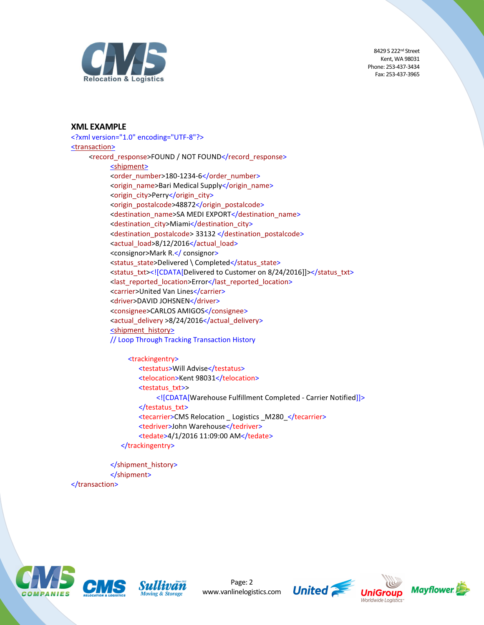

#### XML EXAMPLE

<?xml version="1.0" encoding="UTF-8"?> <transaction> <record\_response>FOUND / NOT FOUND</record\_response> <shipment> <order\_number>180-1234-6</order\_number> <origin\_name>Bari Medical Supply</origin\_name> <origin\_city>Perry</origin\_city> <origin\_postalcode>48872</origin\_postalcode> <destination\_name>SA MEDI EXPORT</destination\_name> <destination\_city>Miami</destination\_city> <destination\_postalcode> 33132 </destination\_postalcode> <actual\_load>8/12/2016</actual\_load> <consignor>Mark R.</ consignor> <status\_state>Delivered \ Completed</status\_state> <status\_txt><![CDATA[Delivered to Customer on 8/24/2016]]></status\_txt> <last\_reported\_location>Error</last\_reported\_location> <carrier>United Van Lines</carrier> <driver>DAVID JOHSNEN</driver> <consignee>CARLOS AMIGOS</consignee> <actual\_delivery >8/24/2016</actual\_delivery> <shipment\_history> // Loop Through Tracking Transaction History

> <trackingentry> <testatus>Will Advise</testatus> <telocation>Kent 98031</telocation> <testatus\_txt>> <![CDATA[Warehouse Fulfillment Completed - Carrier Notified]]> </testatus\_txt> <tecarrier>CMS Relocation \_ Logistics \_M280\_</tecarrier> <tedriver>John Warehouse</tedriver> <tedate>4/1/2016 11:09:00 AM</tedate> </trackingentry>

</shipment\_history> </shipment> </transaction>



Page: 2 www.vanlinelogistics.com





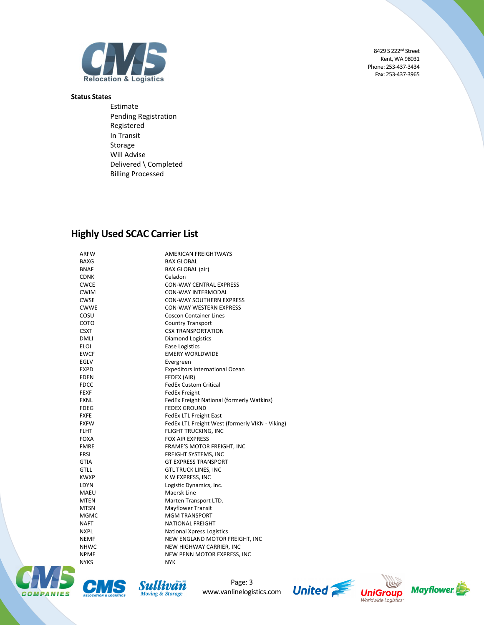

#### Status States

Estimate Pending Registration Registered In Transit Storage Will Advise Delivered \ Completed Billing Processed

# Highly Used SCAC Carrier List

| ARFW        | <b>AMERICAN FREIGHTWAYS</b>                     |
|-------------|-------------------------------------------------|
| BAXG        | <b>BAX GLOBAL</b>                               |
| BNAF        | BAX GLOBAL (air)                                |
| CDNK        | Celadon                                         |
| CWCE        | <b>CON-WAY CENTRAL EXPRESS</b>                  |
| CWIM        | <b>CON-WAY INTERMODAL</b>                       |
| CWSE        | <b>CON-WAY SOUTHERN EXPRESS</b>                 |
| CWWE        | <b>CON-WAY WESTERN EXPRESS</b>                  |
| cosu        | <b>Coscon Container Lines</b>                   |
| сото        | <b>Country Transport</b>                        |
| CSXT        | <b>CSX TRANSPORTATION</b>                       |
| DMLI        | <b>Diamond Logistics</b>                        |
| ELOI        | <b>Ease Logistics</b>                           |
| EWCF        | <b>EMERY WORLDWIDE</b>                          |
| EGLV        | Evergreen                                       |
| EXPD        | <b>Expeditors International Ocean</b>           |
| FDEN        | FEDEX (AIR)                                     |
| FDCC        | <b>FedEx Custom Critical</b>                    |
| FEXF        | <b>FedEx Freight</b>                            |
| FXNL        | FedEx Freight National (formerly Watkins)       |
| FDEG        | <b>FEDEX GROUND</b>                             |
| FXFE        | <b>FedEx LTL Freight East</b>                   |
| FXFW        | FedEx LTL Freight West (formerly VIKN - Viking) |
| FLHT        | FLIGHT TRUCKING, INC                            |
| FOXA        | <b>FOX AIR EXPRESS</b>                          |
| FMRE        | FRAME'S MOTOR FREIGHT, INC                      |
| <b>FRSI</b> | FREIGHT SYSTEMS, INC                            |
| <b>GTIA</b> | <b>GT EXPRESS TRANSPORT</b>                     |
| GTLL        | <b>GTL TRUCK LINES, INC</b>                     |
| KWXP        | K W EXPRESS, INC                                |
| LDYN        | Logistic Dynamics, Inc.                         |
| MAEU        | Maersk Line                                     |
| <b>MTEN</b> | Marten Transport LTD.                           |
| MTSN        | <b>Mayflower Transit</b>                        |
| <b>MGMC</b> | <b>MGM TRANSPORT</b>                            |
| NAFT        | <b>NATIONAL FREIGHT</b>                         |
| NXPL        | <b>National Xpress Logistics</b>                |
| NEMF        | NEW ENGLAND MOTOR FREIGHT, INC                  |
| <b>NHWC</b> | NEW HIGHWAY CARRIER, INC                        |
| NPME        | NEW PENN MOTOR EXPRESS, INC                     |
| NYKS        | <b>NYK</b>                                      |





Page: 3 www.vanlinelogistics.com